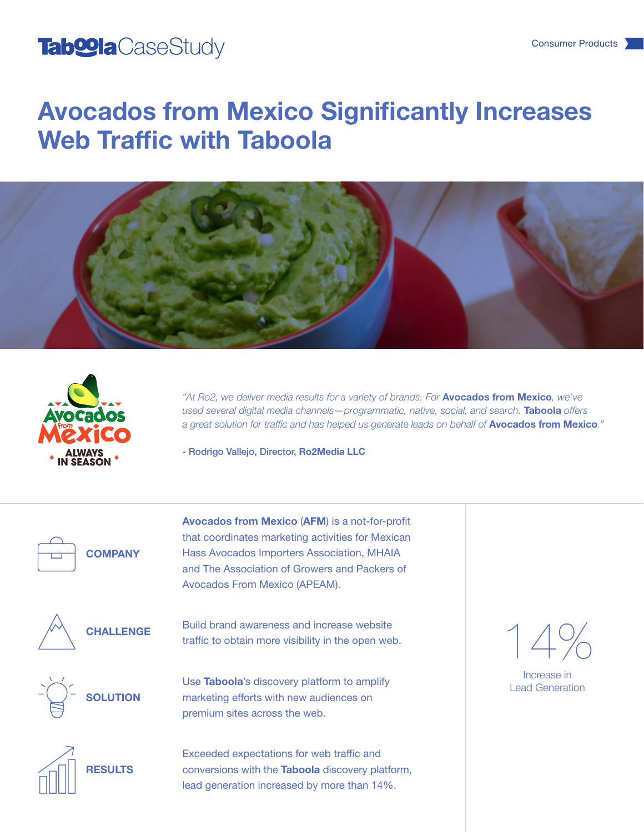#### Tab<sup>oo</sup>la CaseStudy Consumer Products and Consumer Products and Consumer Products and Consumer Products and Consumer Products and Consumer Products and Consumer Products and Consumer Products and Consumer Products and Cons

# Avocados from Mexico Significantly Increases Web Traffic with Taboola





*"At Ro2, we deliver media results for a variety of brands. For* Avocados from Mexico*, we've used several digital media channels—programmatic, native, social, and search.* Taboola *offers a great solution for traffic and has helped us generate leads on behalf of* Avocados from Mexico*."*

- Rodrigo Vallejo, Director, Ro2Media LLC

**COMPANY** 

Avocados from Mexico (AFM) is a not-for-profit that coordinates marketing activities for Mexican Hass Avocados Importers Association, MHAIA and The Association of Growers and Packers of Avocados From Mexico (APEAM).



Build brand awareness and increase website traffic to obtain more visibility in the open web.



Use Taboola's discovery platform to amplify

marketing efforts with new audiences on premium sites across the web.



**RESULTS** 

Exceeded expectations for web traffic and conversions with the Taboola discovery platform, lead generation increased by more than 14%.

14%

Increase in Lead Generation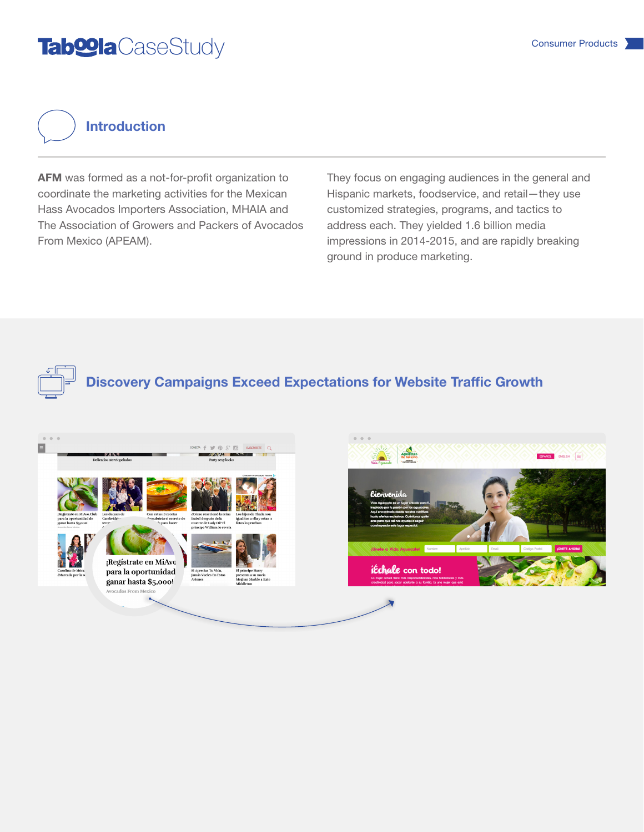## Tab<sup>oo</sup>la CaseStudy Consumer Products

Introduction

AFM was formed as a not-for-profit organization to coordinate the marketing activities for the Mexican Hass Avocados Importers Association, MHAIA and The Association of Growers and Packers of Avocados From Mexico (APEAM).

They focus on engaging audiences in the general and Hispanic markets, foodservice, and retail—they use customized strategies, programs, and tactics to address each. They yielded 1.6 billion media impressions in 2014-2015, and are rapidly breaking ground in produce marketing.



Discovery Campaigns Exceed Expectations for Website Traffic Growth